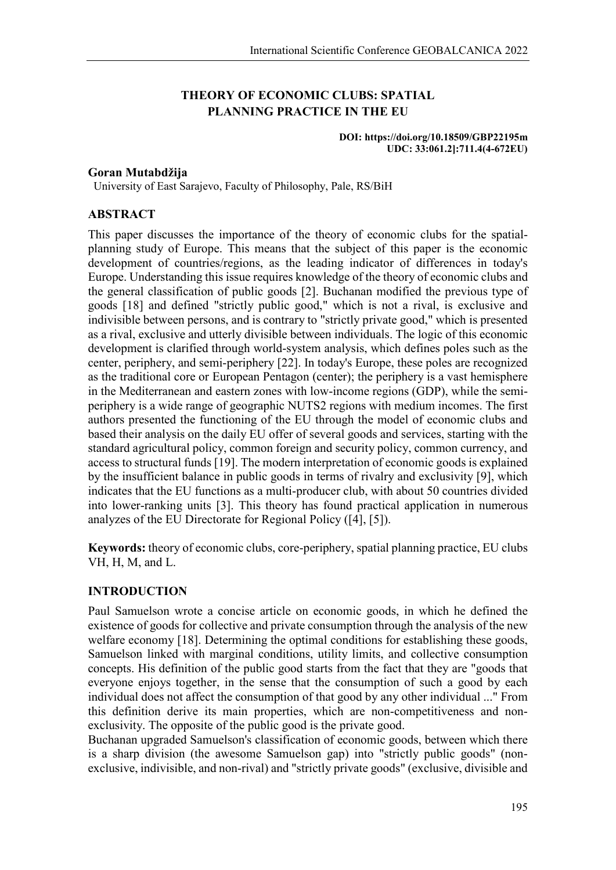# **THEORY OF ECONOMIC CLUBS: SPATIAL PLANNING PRACTICE IN THE EU**

#### **DOI: https://doi.org/10.18509/GBP22195m UDC: 33:061.2]:711.4(4-672EU)**

## **Goran Mutabdžija**

University of East Sarajevo, Faculty of Philosophy, Pale, RS/BiH

## **ABSTRACT**

This paper discusses the importance of the theory of economic clubs for the spatialplanning study of Europe. This means that the subject of this paper is the economic development of countries/regions, as the leading indicator of differences in today's Europe. Understanding this issue requires knowledge of the theory of economic clubs and the general classification of public goods [2]. Buchanan modified the previous type of goods [18] and defined "strictly public good," which is not a rival, is exclusive and indivisible between persons, and is contrary to "strictly private good," which is presented as a rival, exclusive and utterly divisible between individuals. The logic of this economic development is clarified through world-system analysis, which defines poles such as the center, periphery, and semi-periphery [22]. In today's Europe, these poles are recognized as the traditional core or European Pentagon (center); the periphery is a vast hemisphere in the Mediterranean and eastern zones with low-income regions (GDP), while the semiperiphery is a wide range of geographic NUTS2 regions with medium incomes. The first authors presented the functioning of the EU through the model of economic clubs and based their analysis on the daily EU offer of several goods and services, starting with the standard agricultural policy, common foreign and security policy, common currency, and access to structural funds [19]. The modern interpretation of economic goods is explained by the insufficient balance in public goods in terms of rivalry and exclusivity [9], which indicates that the EU functions as a multi-producer club, with about 50 countries divided into lower-ranking units [3]. This theory has found practical application in numerous analyzes of the EU Directorate for Regional Policy ([4], [5]).

**Keywords:** theory of economic clubs, core-periphery, spatial planning practice, EU clubs VH, H, M, and L.

## **INTRODUCTION**

Paul Samuelson wrote a concise article on economic goods, in which he defined the existence of goods for collective and private consumption through the analysis of the new welfare economy [18]. Determining the optimal conditions for establishing these goods, Samuelson linked with marginal conditions, utility limits, and collective consumption concepts. His definition of the public good starts from the fact that they are "goods that everyone enjoys together, in the sense that the consumption of such a good by each individual does not affect the consumption of that good by any other individual ..." From this definition derive its main properties, which are non-competitiveness and nonexclusivity. The opposite of the public good is the private good.

Buchanan upgraded Samuelson's classification of economic goods, between which there is a sharp division (the awesome Samuelson gap) into "strictly public goods" (nonexclusive, indivisible, and non-rival) and "strictly private goods" (exclusive, divisible and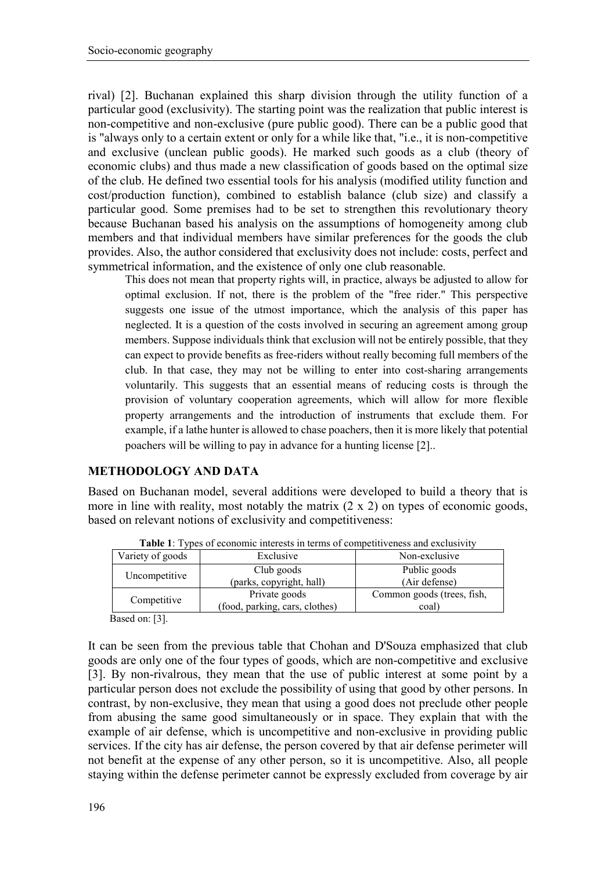rival) [2]. Buchanan explained this sharp division through the utility function of a particular good (exclusivity). The starting point was the realization that public interest is non-competitive and non-exclusive (pure public good). There can be a public good that is "always only to a certain extent or only for a while like that, "i.e., it is non-competitive and exclusive (unclean public goods). He marked such goods as a club (theory of economic clubs) and thus made a new classification of goods based on the optimal size of the club. He defined two essential tools for his analysis (modified utility function and cost/production function), combined to establish balance (club size) and classify a particular good. Some premises had to be set to strengthen this revolutionary theory because Buchanan based his analysis on the assumptions of homogeneity among club members and that individual members have similar preferences for the goods the club provides. Also, the author considered that exclusivity does not include: costs, perfect and symmetrical information, and the existence of only one club reasonable.

This does not mean that property rights will, in practice, always be adjusted to allow for optimal exclusion. If not, there is the problem of the "free rider." This perspective suggests one issue of the utmost importance, which the analysis of this paper has neglected. It is a question of the costs involved in securing an agreement among group members. Suppose individuals think that exclusion will not be entirely possible, that they can expect to provide benefits as free-riders without really becoming full members of the club. In that case, they may not be willing to enter into cost-sharing arrangements voluntarily. This suggests that an essential means of reducing costs is through the provision of voluntary cooperation agreements, which will allow for more flexible property arrangements and the introduction of instruments that exclude them. For example, if a lathe hunter is allowed to chase poachers, then it is more likely that potential poachers will be willing to pay in advance for a hunting license [2]..

# **METHODOLOGY AND DATA**

Based on Buchanan model, several additions were developed to build a theory that is more in line with reality, most notably the matrix (2 x 2) on types of economic goods, based on relevant notions of exclusivity and competitiveness:

| Variety of goods                     | Exclusive                      | Non-exclusive              |  |  |
|--------------------------------------|--------------------------------|----------------------------|--|--|
| Uncompetitive                        | Club goods                     | Public goods               |  |  |
|                                      | (parks, copyright, hall)       | (Air defense)              |  |  |
| Competitive                          | Private goods                  | Common goods (trees, fish, |  |  |
|                                      | (food, parking, cars, clothes) | coal                       |  |  |
| $D_{\text{cond}}$ $\sim$ $\sqrt{21}$ |                                |                            |  |  |

**Table 1**: Types of economic interests in terms of competitiveness and exclusivity

Based on: [3].

It can be seen from the previous table that Chohan and D'Souza emphasized that club goods are only one of the four types of goods, which are non-competitive and exclusive [3]. By non-rivalrous, they mean that the use of public interest at some point by a particular person does not exclude the possibility of using that good by other persons. In contrast, by non-exclusive, they mean that using a good does not preclude other people from abusing the same good simultaneously or in space. They explain that with the example of air defense, which is uncompetitive and non-exclusive in providing public services. If the city has air defense, the person covered by that air defense perimeter will not benefit at the expense of any other person, so it is uncompetitive. Also, all people staying within the defense perimeter cannot be expressly excluded from coverage by air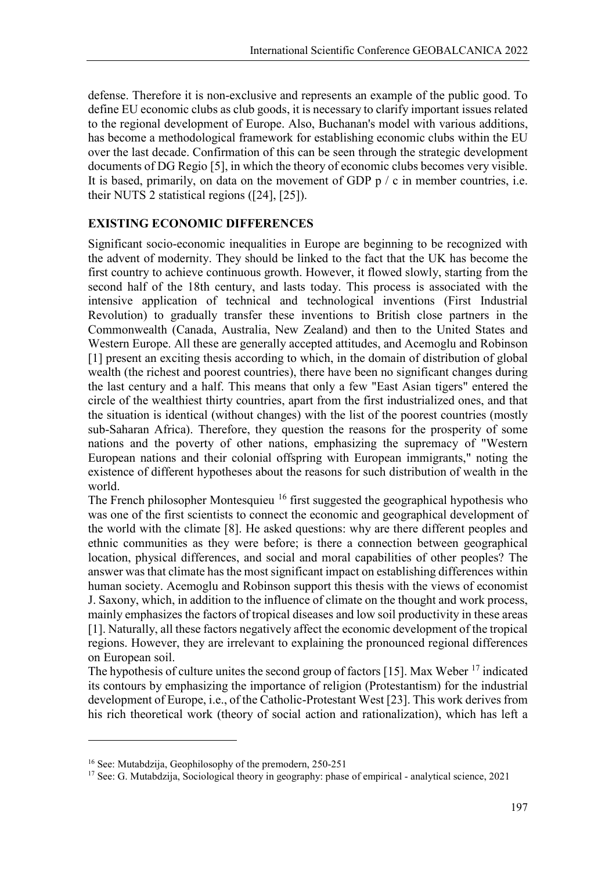defense. Therefore it is non-exclusive and represents an example of the public good. To define EU economic clubs as club goods, it is necessary to clarify important issues related to the regional development of Europe. Also, Buchanan's model with various additions, has become a methodological framework for establishing economic clubs within the EU over the last decade. Confirmation of this can be seen through the strategic development documents of DG Regio [5], in which the theory of economic clubs becomes very visible. It is based, primarily, on data on the movement of GDP  $p / c$  in member countries, i.e. their NUTS 2 statistical regions ([24], [25]).

# **EXISTING ECONOMIC DIFFERENCES**

Significant socio-economic inequalities in Europe are beginning to be recognized with the advent of modernity. They should be linked to the fact that the UK has become the first country to achieve continuous growth. However, it flowed slowly, starting from the second half of the 18th century, and lasts today. This process is associated with the intensive application of technical and technological inventions (First Industrial Revolution) to gradually transfer these inventions to British close partners in the Commonwealth (Canada, Australia, New Zealand) and then to the United States and Western Europe. All these are generally accepted attitudes, and Acemoglu and Robinson [1] present an exciting thesis according to which, in the domain of distribution of global wealth (the richest and poorest countries), there have been no significant changes during the last century and a half. This means that only a few "East Asian tigers" entered the circle of the wealthiest thirty countries, apart from the first industrialized ones, and that the situation is identical (without changes) with the list of the poorest countries (mostly sub-Saharan Africa). Therefore, they question the reasons for the prosperity of some nations and the poverty of other nations, emphasizing the supremacy of "Western European nations and their colonial offspring with European immigrants," noting the existence of different hypotheses about the reasons for such distribution of wealth in the world.

The French philosopher Montesquieu <sup>[16](#page-2-0)</sup> first suggested the geographical hypothesis who was one of the first scientists to connect the economic and geographical development of the world with the climate [8]. He asked questions: why are there different peoples and ethnic communities as they were before; is there a connection between geographical location, physical differences, and social and moral capabilities of other peoples? The answer was that climate has the most significant impact on establishing differences within human society. Acemoglu and Robinson support this thesis with the views of economist J. Saxony, which, in addition to the influence of climate on the thought and work process, mainly emphasizes the factors of tropical diseases and low soil productivity in these areas [1]. Naturally, all these factors negatively affect the economic development of the tropical regions. However, they are irrelevant to explaining the pronounced regional differences on European soil.

The hypothesis of culture unites the second group of factors [15]. Max Weber  $^{17}$  $^{17}$  $^{17}$  indicated its contours by emphasizing the importance of religion (Protestantism) for the industrial development of Europe, i.e., of the Catholic-Protestant West [23]. This work derives from his rich theoretical work (theory of social action and rationalization), which has left a

**.** 

<span id="page-2-0"></span><sup>16</sup> See: Mutabdzija, Geophilosophy of the premodern, 250-251

<span id="page-2-1"></span><sup>&</sup>lt;sup>17</sup> See: G. Mutabdzija, Sociological theory in geography: phase of empirical - analytical science, 2021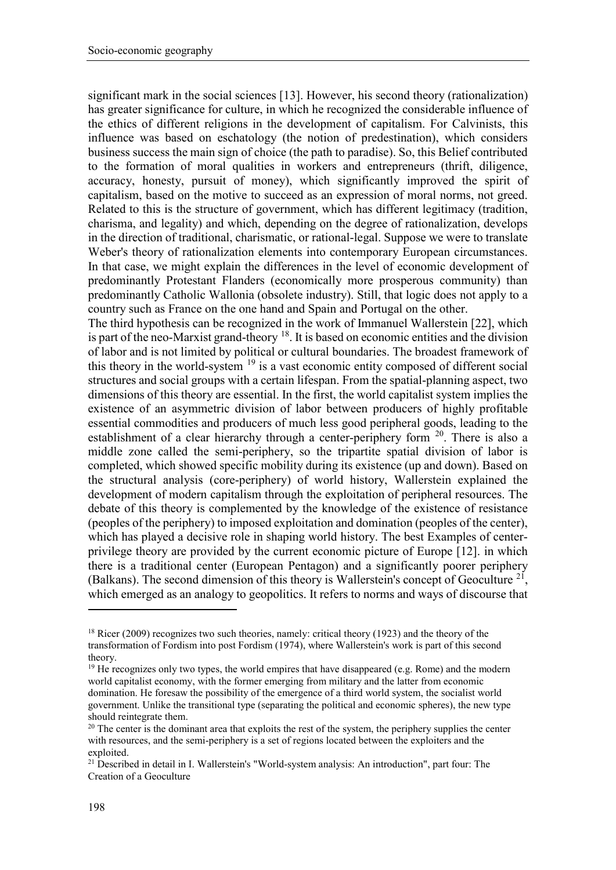significant mark in the social sciences [13]. However, his second theory (rationalization) has greater significance for culture, in which he recognized the considerable influence of the ethics of different religions in the development of capitalism. For Calvinists, this influence was based on eschatology (the notion of predestination), which considers business success the main sign of choice (the path to paradise). So, this Belief contributed to the formation of moral qualities in workers and entrepreneurs (thrift, diligence, accuracy, honesty, pursuit of money), which significantly improved the spirit of capitalism, based on the motive to succeed as an expression of moral norms, not greed. Related to this is the structure of government, which has different legitimacy (tradition, charisma, and legality) and which, depending on the degree of rationalization, develops in the direction of traditional, charismatic, or rational-legal. Suppose we were to translate Weber's theory of rationalization elements into contemporary European circumstances. In that case, we might explain the differences in the level of economic development of predominantly Protestant Flanders (economically more prosperous community) than predominantly Catholic Wallonia (obsolete industry). Still, that logic does not apply to a country such as France on the one hand and Spain and Portugal on the other.

The third hypothesis can be recognized in the work of Immanuel Wallerstein [22], which is part of the neo-Marxist grand-theory [18.](#page-3-0) It is based on economic entities and the division of labor and is not limited by political or cultural boundaries. The broadest framework of this theory in the world-system <sup>[19](#page-3-1)</sup> is a vast economic entity composed of different social structures and social groups with a certain lifespan. From the spatial-planning aspect, two dimensions of this theory are essential. In the first, the world capitalist system implies the existence of an asymmetric division of labor between producers of highly profitable essential commodities and producers of much less good peripheral goods, leading to the establishment of a clear hierarchy through a center-periphery form  $20$ . There is also a middle zone called the semi-periphery, so the tripartite spatial division of labor is completed, which showed specific mobility during its existence (up and down). Based on the structural analysis (core-periphery) of world history, Wallerstein explained the development of modern capitalism through the exploitation of peripheral resources. The debate of this theory is complemented by the knowledge of the existence of resistance (peoples of the periphery) to imposed exploitation and domination (peoples of the center), which has played a decisive role in shaping world history. The best Examples of centerprivilege theory are provided by the current economic picture of Europe [12]. in which there is a traditional center (European Pentagon) and a significantly poorer periphery (Balkans). The second dimension of this theory is Wallerstein's concept of Geoculture<sup>[21](#page-3-3)</sup>, which emerged as an analogy to geopolitics. It refers to norms and ways of discourse that

**.** 

<span id="page-3-0"></span><sup>&</sup>lt;sup>18</sup> Ricer (2009) recognizes two such theories, namely: critical theory (1923) and the theory of the transformation of Fordism into post Fordism (1974), where Wallerstein's work is part of this second theory.

<span id="page-3-1"></span> $19$  He recognizes only two types, the world empires that have disappeared (e.g. Rome) and the modern world capitalist economy, with the former emerging from military and the latter from economic domination. He foresaw the possibility of the emergence of a third world system, the socialist world government. Unlike the transitional type (separating the political and economic spheres), the new type should reintegrate them.

<span id="page-3-2"></span><sup>&</sup>lt;sup>20</sup> The center is the dominant area that exploits the rest of the system, the periphery supplies the center with resources, and the semi-periphery is a set of regions located between the exploiters and the exploited.

<span id="page-3-3"></span><sup>&</sup>lt;sup>21</sup> Described in detail in I. Wallerstein's "World-system analysis: An introduction", part four: The Creation of a Geoculture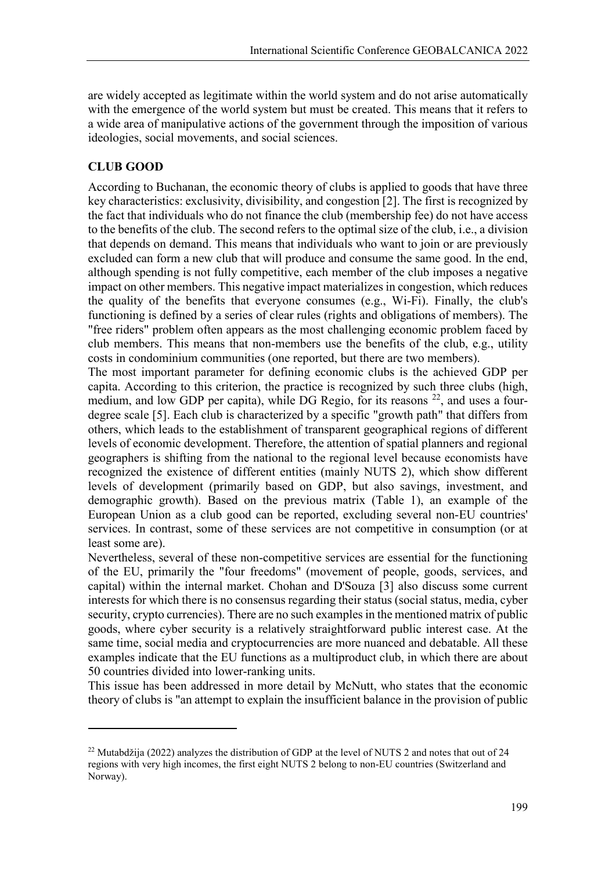are widely accepted as legitimate within the world system and do not arise automatically with the emergence of the world system but must be created. This means that it refers to a wide area of manipulative actions of the government through the imposition of various ideologies, social movements, and social sciences.

# **CLUB GOOD**

1

According to Buchanan, the economic theory of clubs is applied to goods that have three key characteristics: exclusivity, divisibility, and congestion [2]. The first is recognized by the fact that individuals who do not finance the club (membership fee) do not have access to the benefits of the club. The second refers to the optimal size of the club, i.e., a division that depends on demand. This means that individuals who want to join or are previously excluded can form a new club that will produce and consume the same good. In the end, although spending is not fully competitive, each member of the club imposes a negative impact on other members. This negative impact materializes in congestion, which reduces the quality of the benefits that everyone consumes (e.g., Wi-Fi). Finally, the club's functioning is defined by a series of clear rules (rights and obligations of members). The "free riders" problem often appears as the most challenging economic problem faced by club members. This means that non-members use the benefits of the club, e.g., utility costs in condominium communities (one reported, but there are two members).

The most important parameter for defining economic clubs is the achieved GDP per capita. According to this criterion, the practice is recognized by such three clubs (high, medium, and low GDP per capita), while DG Regio, for its reasons <sup>[22](#page-4-0)</sup>, and uses a fourdegree scale [5]. Each club is characterized by a specific "growth path" that differs from others, which leads to the establishment of transparent geographical regions of different levels of economic development. Therefore, the attention of spatial planners and regional geographers is shifting from the national to the regional level because economists have recognized the existence of different entities (mainly NUTS 2), which show different levels of development (primarily based on GDP, but also savings, investment, and demographic growth). Based on the previous matrix (Table 1), an example of the European Union as a club good can be reported, excluding several non-EU countries' services. In contrast, some of these services are not competitive in consumption (or at least some are).

Nevertheless, several of these non-competitive services are essential for the functioning of the EU, primarily the "four freedoms" (movement of people, goods, services, and capital) within the internal market. Chohan and D'Souza [3] also discuss some current interests for which there is no consensus regarding their status (social status, media, cyber security, crypto currencies). There are no such examples in the mentioned matrix of public goods, where cyber security is a relatively straightforward public interest case. At the same time, social media and cryptocurrencies are more nuanced and debatable. All these examples indicate that the EU functions as a multiproduct club, in which there are about 50 countries divided into lower-ranking units.

This issue has been addressed in more detail by McNutt, who states that the economic theory of clubs is "an attempt to explain the insufficient balance in the provision of public

<span id="page-4-0"></span><sup>&</sup>lt;sup>22</sup> Mutabdžija (2022) analyzes the distribution of GDP at the level of NUTS 2 and notes that out of 24 regions with very high incomes, the first eight NUTS 2 belong to non-EU countries (Switzerland and Norway).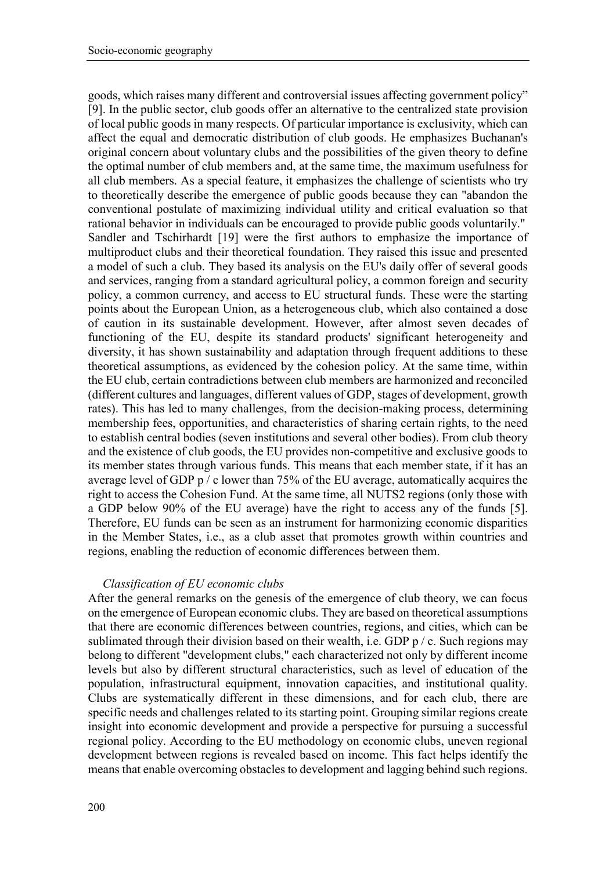goods, which raises many different and controversial issues affecting government policy" [9]. In the public sector, club goods offer an alternative to the centralized state provision of local public goods in many respects. Of particular importance is exclusivity, which can affect the equal and democratic distribution of club goods. He emphasizes Buchanan's original concern about voluntary clubs and the possibilities of the given theory to define the optimal number of club members and, at the same time, the maximum usefulness for all club members. As a special feature, it emphasizes the challenge of scientists who try to theoretically describe the emergence of public goods because they can "abandon the conventional postulate of maximizing individual utility and critical evaluation so that rational behavior in individuals can be encouraged to provide public goods voluntarily." Sandler and Tschirhardt [19] were the first authors to emphasize the importance of multiproduct clubs and their theoretical foundation. They raised this issue and presented a model of such a club. They based its analysis on the EU's daily offer of several goods and services, ranging from a standard agricultural policy, a common foreign and security policy, a common currency, and access to EU structural funds. These were the starting points about the European Union, as a heterogeneous club, which also contained a dose of caution in its sustainable development. However, after almost seven decades of functioning of the EU, despite its standard products' significant heterogeneity and diversity, it has shown sustainability and adaptation through frequent additions to these theoretical assumptions, as evidenced by the cohesion policy. At the same time, within the EU club, certain contradictions between club members are harmonized and reconciled (different cultures and languages, different values of GDP, stages of development, growth rates). This has led to many challenges, from the decision-making process, determining membership fees, opportunities, and characteristics of sharing certain rights, to the need to establish central bodies (seven institutions and several other bodies). From club theory and the existence of club goods, the EU provides non-competitive and exclusive goods to its member states through various funds. This means that each member state, if it has an average level of GDP p / c lower than 75% of the EU average, automatically acquires the right to access the Cohesion Fund. At the same time, all NUTS2 regions (only those with a GDP below 90% of the EU average) have the right to access any of the funds [5]. Therefore, EU funds can be seen as an instrument for harmonizing economic disparities in the Member States, i.e., as a club asset that promotes growth within countries and regions, enabling the reduction of economic differences between them.

#### *Classification of EU economic clubs*

After the general remarks on the genesis of the emergence of club theory, we can focus on the emergence of European economic clubs. They are based on theoretical assumptions that there are economic differences between countries, regions, and cities, which can be sublimated through their division based on their wealth, i.e. GDP  $p / c$ . Such regions may belong to different "development clubs," each characterized not only by different income levels but also by different structural characteristics, such as level of education of the population, infrastructural equipment, innovation capacities, and institutional quality. Clubs are systematically different in these dimensions, and for each club, there are specific needs and challenges related to its starting point. Grouping similar regions create insight into economic development and provide a perspective for pursuing a successful regional policy. According to the EU methodology on economic clubs, uneven regional development between regions is revealed based on income. This fact helps identify the means that enable overcoming obstacles to development and lagging behind such regions.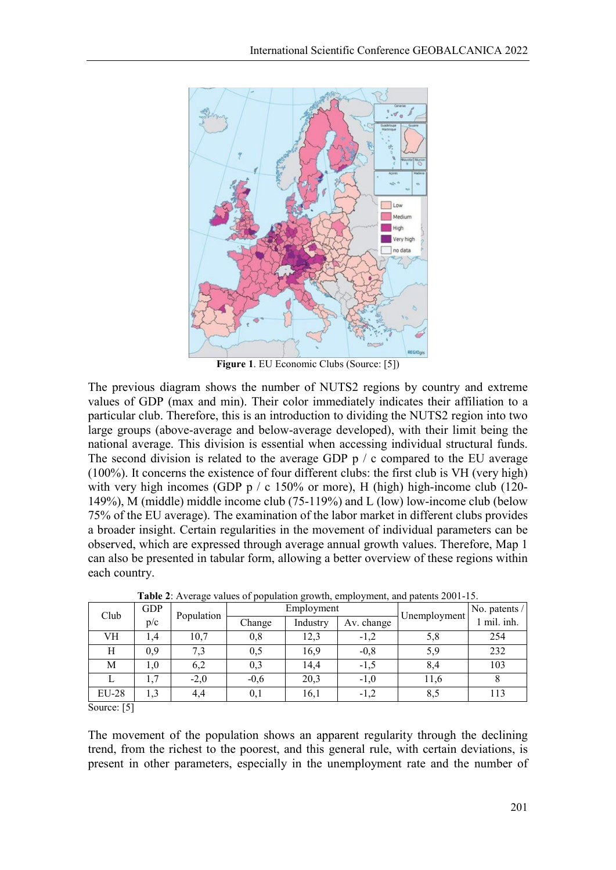

**Figure 1**. EU Economic Clubs (Source: [5])

The previous diagram shows the number of NUTS2 regions by country and extreme values of GDP (max and min). Their color immediately indicates their affiliation to a particular club. Therefore, this is an introduction to dividing the NUTS2 region into two large groups (above-average and below-average developed), with their limit being the national average. This division is essential when accessing individual structural funds. The second division is related to the average GDP p / c compared to the EU average (100%). It concerns the existence of four different clubs: the first club is VH (very high) with very high incomes (GDP  $p / c$  150% or more), H (high) high-income club (120-149%), M (middle) middle income club (75-119%) and L (low) low-income club (below 75% of the EU average). The examination of the labor market in different clubs provides a broader insight. Certain regularities in the movement of individual parameters can be observed, which are expressed through average annual growth values. Therefore, Map 1 can also be presented in tabular form, allowing a better overview of these regions within each country.

| Club         | <b>GDP</b> | Population | Employment |          |            | No. patents / |           |
|--------------|------------|------------|------------|----------|------------|---------------|-----------|
|              | p/c        |            | Change     | Industry | Av. change | Unemployment  | mil. inh. |
| VH           | . . 4      | 10,7       | 0,8        | 12,3     | $-1,2$     | 5,8           | 254       |
| Η            | 0,9        | 7,3        | 0,5        | 16,9     | $-0,8$     | 5,9           | 232       |
| М            | 1,0        | 6,2        | 0,3        | 14,4     | $-1,5$     | 8,4           | 103       |
|              | 1,7        | $-2,0$     | $-0,6$     | 20,3     | $-1,0$     | 11,6          |           |
| <b>EU-28</b> | 1,3        | 4,4        | 0,1        | 16,1     | $-1,2$     | 8,5           | 113       |

**Table 2**: Average values of population growth, employment, and patents 2001-15.

Source: [5]

The movement of the population shows an apparent regularity through the declining trend, from the richest to the poorest, and this general rule, with certain deviations, is present in other parameters, especially in the unemployment rate and the number of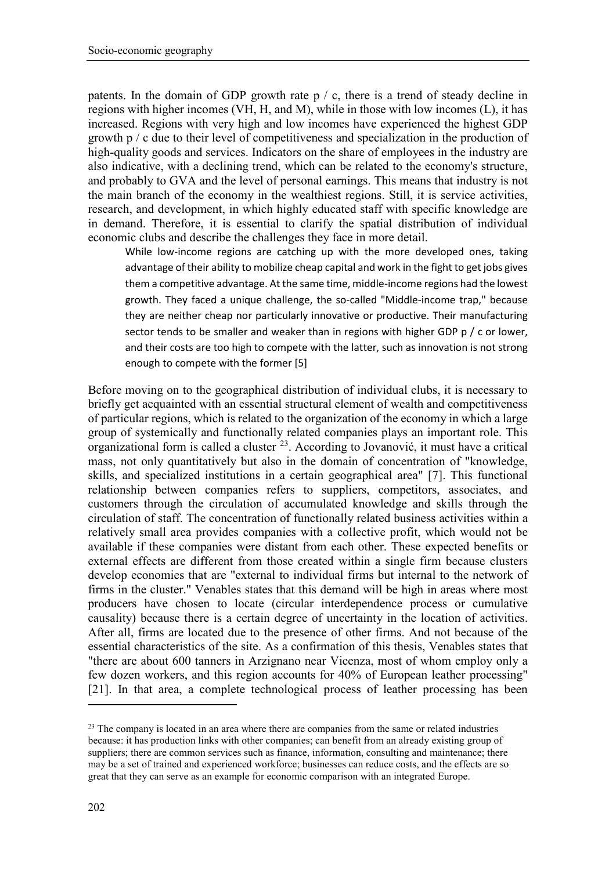patents. In the domain of GDP growth rate  $p / c$ , there is a trend of steady decline in regions with higher incomes (VH, H, and M), while in those with low incomes (L), it has increased. Regions with very high and low incomes have experienced the highest GDP growth p / c due to their level of competitiveness and specialization in the production of high-quality goods and services. Indicators on the share of employees in the industry are also indicative, with a declining trend, which can be related to the economy's structure, and probably to GVA and the level of personal earnings. This means that industry is not the main branch of the economy in the wealthiest regions. Still, it is service activities, research, and development, in which highly educated staff with specific knowledge are in demand. Therefore, it is essential to clarify the spatial distribution of individual economic clubs and describe the challenges they face in more detail.

While low-income regions are catching up with the more developed ones, taking advantage of their ability to mobilize cheap capital and work in the fight to get jobs gives them a competitive advantage. At the same time, middle-income regions had the lowest growth. They faced a unique challenge, the so-called "Middle-income trap," because they are neither cheap nor particularly innovative or productive. Their manufacturing sector tends to be smaller and weaker than in regions with higher GDP p / c or lower, and their costs are too high to compete with the latter, such as innovation is not strong enough to compete with the former [5]

Before moving on to the geographical distribution of individual clubs, it is necessary to briefly get acquainted with an essential structural element of wealth and competitiveness of particular regions, which is related to the organization of the economy in which a large group of systemically and functionally related companies plays an important role. This organizational form is called a cluster [23](#page-7-0). According to Jovanović, it must have a critical mass, not only quantitatively but also in the domain of concentration of "knowledge, skills, and specialized institutions in a certain geographical area" [7]. This functional relationship between companies refers to suppliers, competitors, associates, and customers through the circulation of accumulated knowledge and skills through the circulation of staff. The concentration of functionally related business activities within a relatively small area provides companies with a collective profit, which would not be available if these companies were distant from each other. These expected benefits or external effects are different from those created within a single firm because clusters develop economies that are "external to individual firms but internal to the network of firms in the cluster." Venables states that this demand will be high in areas where most producers have chosen to locate (circular interdependence process or cumulative causality) because there is a certain degree of uncertainty in the location of activities. After all, firms are located due to the presence of other firms. And not because of the essential characteristics of the site. As a confirmation of this thesis, Venables states that "there are about 600 tanners in Arzignano near Vicenza, most of whom employ only a few dozen workers, and this region accounts for 40% of European leather processing" [21]. In that area, a complete technological process of leather processing has been

1

<span id="page-7-0"></span><sup>&</sup>lt;sup>23</sup> The company is located in an area where there are companies from the same or related industries because: it has production links with other companies; can benefit from an already existing group of suppliers; there are common services such as finance, information, consulting and maintenance; there may be a set of trained and experienced workforce; businesses can reduce costs, and the effects are so great that they can serve as an example for economic comparison with an integrated Europe.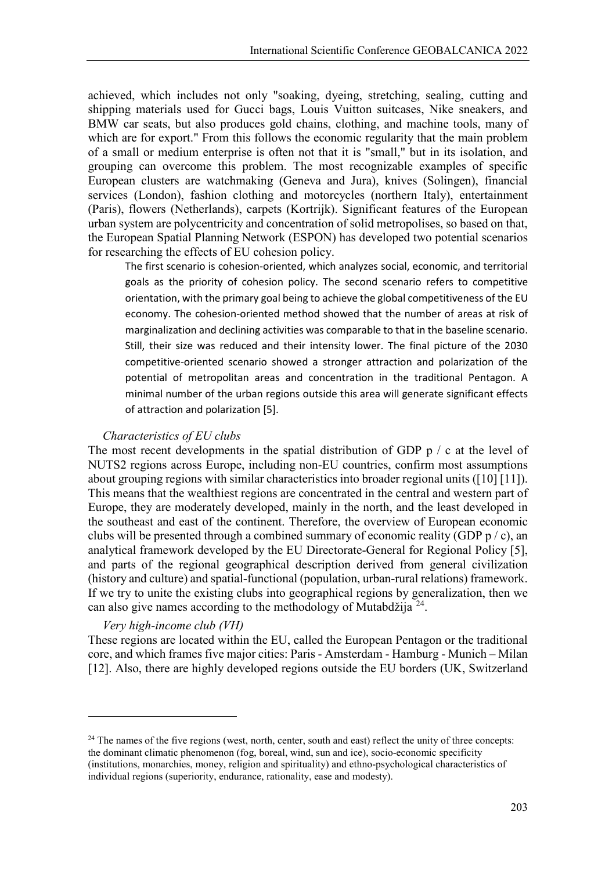achieved, which includes not only "soaking, dyeing, stretching, sealing, cutting and shipping materials used for Gucci bags, Louis Vuitton suitcases, Nike sneakers, and BMW car seats, but also produces gold chains, clothing, and machine tools, many of which are for export." From this follows the economic regularity that the main problem of a small or medium enterprise is often not that it is "small," but in its isolation, and grouping can overcome this problem. The most recognizable examples of specific European clusters are watchmaking (Geneva and Jura), knives (Solingen), financial services (London), fashion clothing and motorcycles (northern Italy), entertainment (Paris), flowers (Netherlands), carpets (Kortrijk). Significant features of the European urban system are polycentricity and concentration of solid metropolises, so based on that, the European Spatial Planning Network (ESPON) has developed two potential scenarios for researching the effects of EU cohesion policy.

The first scenario is cohesion-oriented, which analyzes social, economic, and territorial goals as the priority of cohesion policy. The second scenario refers to competitive orientation, with the primary goal being to achieve the global competitiveness of the EU economy. The cohesion-oriented method showed that the number of areas at risk of marginalization and declining activities was comparable to that in the baseline scenario. Still, their size was reduced and their intensity lower. The final picture of the 2030 competitive-oriented scenario showed a stronger attraction and polarization of the potential of metropolitan areas and concentration in the traditional Pentagon. A minimal number of the urban regions outside this area will generate significant effects of attraction and polarization [5].

#### *Characteristics of EU clubs*

The most recent developments in the spatial distribution of GDP  $p / c$  at the level of NUTS2 regions across Europe, including non-EU countries, confirm most assumptions about grouping regions with similar characteristics into broader regional units ([10] [11]). This means that the wealthiest regions are concentrated in the central and western part of Europe, they are moderately developed, mainly in the north, and the least developed in the southeast and east of the continent. Therefore, the overview of European economic clubs will be presented through a combined summary of economic reality (GDP  $p / c$ ), an analytical framework developed by the EU Directorate-General for Regional Policy [5], and parts of the regional geographical description derived from general civilization (history and culture) and spatial-functional (population, urban-rural relations) framework. If we try to unite the existing clubs into geographical regions by generalization, then we can also give names according to the methodology of Mutabdžija [24](#page-8-0).

#### *Very high-income club (VH)*

**.** 

These regions are located within the EU, called the European Pentagon or the traditional core, and which frames five major cities: Paris - Amsterdam - Hamburg - Munich – Milan [12]. Also, there are highly developed regions outside the EU borders (UK, Switzerland

<span id="page-8-0"></span><sup>&</sup>lt;sup>24</sup> The names of the five regions (west, north, center, south and east) reflect the unity of three concepts: the dominant climatic phenomenon (fog, boreal, wind, sun and ice), socio-economic specificity (institutions, monarchies, money, religion and spirituality) and ethno-psychological characteristics of individual regions (superiority, endurance, rationality, ease and modesty).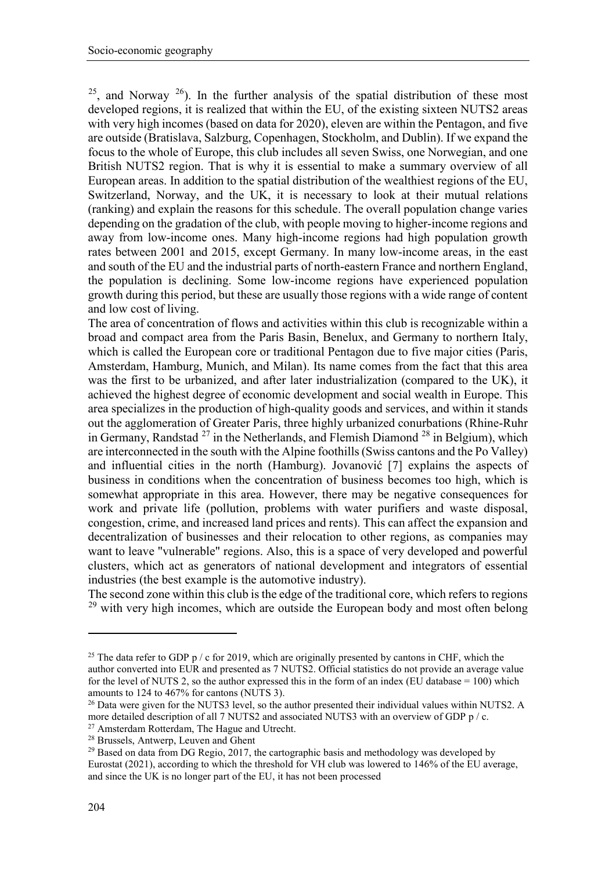$25$ , and Norway  $26$ ). In the further analysis of the spatial distribution of these most developed regions, it is realized that within the EU, of the existing sixteen NUTS2 areas with very high incomes (based on data for 2020), eleven are within the Pentagon, and five are outside (Bratislava, Salzburg, Copenhagen, Stockholm, and Dublin). If we expand the focus to the whole of Europe, this club includes all seven Swiss, one Norwegian, and one British NUTS2 region. That is why it is essential to make a summary overview of all European areas. In addition to the spatial distribution of the wealthiest regions of the EU, Switzerland, Norway, and the UK, it is necessary to look at their mutual relations (ranking) and explain the reasons for this schedule. The overall population change varies depending on the gradation of the club, with people moving to higher-income regions and away from low-income ones. Many high-income regions had high population growth rates between 2001 and 2015, except Germany. In many low-income areas, in the east and south of the EU and the industrial parts of north-eastern France and northern England, the population is declining. Some low-income regions have experienced population growth during this period, but these are usually those regions with a wide range of content and low cost of living.

The area of concentration of flows and activities within this club is recognizable within a broad and compact area from the Paris Basin, Benelux, and Germany to northern Italy, which is called the European core or traditional Pentagon due to five major cities (Paris, Amsterdam, Hamburg, Munich, and Milan). Its name comes from the fact that this area was the first to be urbanized, and after later industrialization (compared to the UK), it achieved the highest degree of economic development and social wealth in Europe. This area specializes in the production of high-quality goods and services, and within it stands out the agglomeration of Greater Paris, three highly urbanized conurbations (Rhine-Ruhr in Germany, Randstad  $^{27}$  $^{27}$  $^{27}$  in the Netherlands, and Flemish Diamond  $^{28}$  $^{28}$  $^{28}$  in Belgium), which are interconnected in the south with the Alpine foothills (Swiss cantons and the Po Valley) and influential cities in the north (Hamburg). Jovanović [7] explains the aspects of business in conditions when the concentration of business becomes too high, which is somewhat appropriate in this area. However, there may be negative consequences for work and private life (pollution, problems with water purifiers and waste disposal, congestion, crime, and increased land prices and rents). This can affect the expansion and decentralization of businesses and their relocation to other regions, as companies may want to leave "vulnerable" regions. Also, this is a space of very developed and powerful clusters, which act as generators of national development and integrators of essential industries (the best example is the automotive industry).

The second zone within this club is the edge of the traditional core, which refers to regions <sup>[29](#page-9-4)</sup> with very high incomes, which are outside the European body and most often belong

1

<span id="page-9-0"></span><sup>&</sup>lt;sup>25</sup> The data refer to GDP p / c for 2019, which are originally presented by cantons in CHF, which the author converted into EUR and presented as 7 NUTS2. Official statistics do not provide an average value for the level of NUTS 2, so the author expressed this in the form of an index (EU database  $= 100$ ) which amounts to 124 to 467% for cantons (NUTS 3).

<span id="page-9-1"></span><sup>&</sup>lt;sup>26</sup> Data were given for the NUTS3 level, so the author presented their individual values within NUTS2. A more detailed description of all 7 NUTS2 and associated NUTS3 with an overview of GDP p / c.

<sup>&</sup>lt;sup>27</sup> Amsterdam Rotterdam, The Hague and Utrecht.

<span id="page-9-3"></span><span id="page-9-2"></span><sup>28</sup> Brussels, Antwerp, Leuven and Ghent

<span id="page-9-4"></span><sup>&</sup>lt;sup>29</sup> Based on data from DG Regio, 2017, the cartographic basis and methodology was developed by Eurostat (2021), according to which the threshold for VH club was lowered to 146% of the EU average, and since the UK is no longer part of the EU, it has not been processed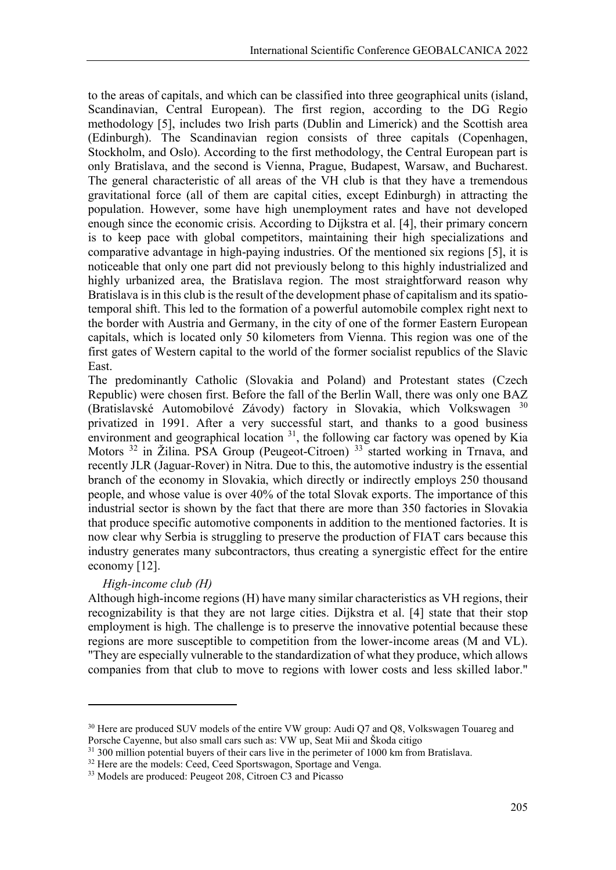to the areas of capitals, and which can be classified into three geographical units (island, Scandinavian, Central European). The first region, according to the DG Regio methodology [5], includes two Irish parts (Dublin and Limerick) and the Scottish area (Edinburgh). The Scandinavian region consists of three capitals (Copenhagen, Stockholm, and Oslo). According to the first methodology, the Central European part is only Bratislava, and the second is Vienna, Prague, Budapest, Warsaw, and Bucharest. The general characteristic of all areas of the VH club is that they have a tremendous gravitational force (all of them are capital cities, except Edinburgh) in attracting the population. However, some have high unemployment rates and have not developed enough since the economic crisis. According to Dijkstra et al. [4], their primary concern is to keep pace with global competitors, maintaining their high specializations and comparative advantage in high-paying industries. Of the mentioned six regions [5], it is noticeable that only one part did not previously belong to this highly industrialized and highly urbanized area, the Bratislava region. The most straightforward reason why Bratislava is in this club is the result of the development phase of capitalism and its spatiotemporal shift. This led to the formation of a powerful automobile complex right next to the border with Austria and Germany, in the city of one of the former Eastern European capitals, which is located only 50 kilometers from Vienna. This region was one of the first gates of Western capital to the world of the former socialist republics of the Slavic East.

The predominantly Catholic (Slovakia and Poland) and Protestant states (Czech Republic) were chosen first. Before the fall of the Berlin Wall, there was only one BAZ (Bratislavské Automobilové Závody) factory in Slovakia, which Volkswagen [30](#page-10-0) privatized in 1991. After a very successful start, and thanks to a good business environment and geographical location  $31$ , the following car factory was opened by Kia Motors <sup>[32](#page-10-2)</sup> in Žilina. PSA Group (Peugeot-Citroen)<sup>[33](#page-10-3)</sup> started working in Trnava, and recently JLR (Jaguar-Rover) in Nitra. Due to this, the automotive industry is the essential branch of the economy in Slovakia, which directly or indirectly employs 250 thousand people, and whose value is over 40% of the total Slovak exports. The importance of this industrial sector is shown by the fact that there are more than 350 factories in Slovakia that produce specific automotive components in addition to the mentioned factories. It is now clear why Serbia is struggling to preserve the production of FIAT cars because this industry generates many subcontractors, thus creating a synergistic effect for the entire economy [12].

## *High-income club (H)*

1

Although high-income regions (H) have many similar characteristics as VH regions, their recognizability is that they are not large cities. Dijkstra et al. [4] state that their stop employment is high. The challenge is to preserve the innovative potential because these regions are more susceptible to competition from the lower-income areas (M and VL). "They are especially vulnerable to the standardization of what they produce, which allows companies from that club to move to regions with lower costs and less skilled labor."

<span id="page-10-0"></span><sup>&</sup>lt;sup>30</sup> Here are produced SUV models of the entire VW group: Audi Q7 and Q8, Volkswagen Touareg and Porsche Cayenne, but also small cars such as: VW up, Seat Mii and Škoda citigo

<span id="page-10-1"></span><sup>&</sup>lt;sup>31</sup> 300 million potential buyers of their cars live in the perimeter of 1000 km from Bratislava.

<span id="page-10-2"></span><sup>&</sup>lt;sup>32</sup> Here are the models: Ceed, Ceed Sportswagon, Sportage and Venga.

<span id="page-10-3"></span><sup>33</sup> Models are produced: Peugeot 208, Citroen C3 and Picasso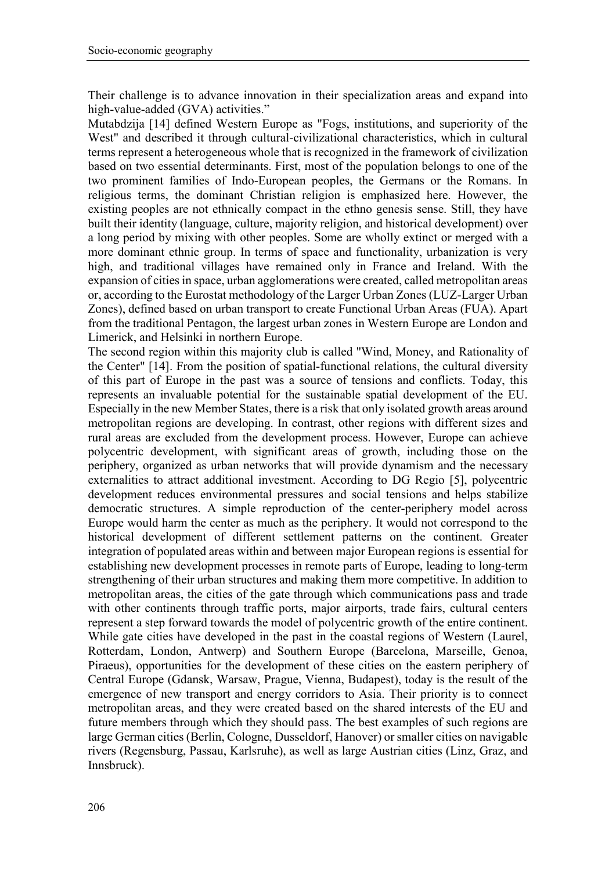Their challenge is to advance innovation in their specialization areas and expand into high-value-added (GVA) activities."

Mutabdzija [14] defined Western Europe as "Fogs, institutions, and superiority of the West" and described it through cultural-civilizational characteristics, which in cultural terms represent a heterogeneous whole that is recognized in the framework of civilization based on two essential determinants. First, most of the population belongs to one of the two prominent families of Indo-European peoples, the Germans or the Romans. In religious terms, the dominant Christian religion is emphasized here. However, the existing peoples are not ethnically compact in the ethno genesis sense. Still, they have built their identity (language, culture, majority religion, and historical development) over a long period by mixing with other peoples. Some are wholly extinct or merged with a more dominant ethnic group. In terms of space and functionality, urbanization is very high, and traditional villages have remained only in France and Ireland. With the expansion of cities in space, urban agglomerations were created, called metropolitan areas or, according to the Eurostat methodology of the Larger Urban Zones (LUZ-Larger Urban Zones), defined based on urban transport to create Functional Urban Areas (FUA). Apart from the traditional Pentagon, the largest urban zones in Western Europe are London and Limerick, and Helsinki in northern Europe.

The second region within this majority club is called "Wind, Money, and Rationality of the Center" [14]. From the position of spatial-functional relations, the cultural diversity of this part of Europe in the past was a source of tensions and conflicts. Today, this represents an invaluable potential for the sustainable spatial development of the EU. Especially in the new Member States, there is a risk that only isolated growth areas around metropolitan regions are developing. In contrast, other regions with different sizes and rural areas are excluded from the development process. However, Europe can achieve polycentric development, with significant areas of growth, including those on the periphery, organized as urban networks that will provide dynamism and the necessary externalities to attract additional investment. According to DG Regio [5], polycentric development reduces environmental pressures and social tensions and helps stabilize democratic structures. A simple reproduction of the center-periphery model across Europe would harm the center as much as the periphery. It would not correspond to the historical development of different settlement patterns on the continent. Greater integration of populated areas within and between major European regions is essential for establishing new development processes in remote parts of Europe, leading to long-term strengthening of their urban structures and making them more competitive. In addition to metropolitan areas, the cities of the gate through which communications pass and trade with other continents through traffic ports, major airports, trade fairs, cultural centers represent a step forward towards the model of polycentric growth of the entire continent. While gate cities have developed in the past in the coastal regions of Western (Laurel, Rotterdam, London, Antwerp) and Southern Europe (Barcelona, Marseille, Genoa, Piraeus), opportunities for the development of these cities on the eastern periphery of Central Europe (Gdansk, Warsaw, Prague, Vienna, Budapest), today is the result of the emergence of new transport and energy corridors to Asia. Their priority is to connect metropolitan areas, and they were created based on the shared interests of the EU and future members through which they should pass. The best examples of such regions are large German cities (Berlin, Cologne, Dusseldorf, Hanover) or smaller cities on navigable rivers (Regensburg, Passau, Karlsruhe), as well as large Austrian cities (Linz, Graz, and Innsbruck).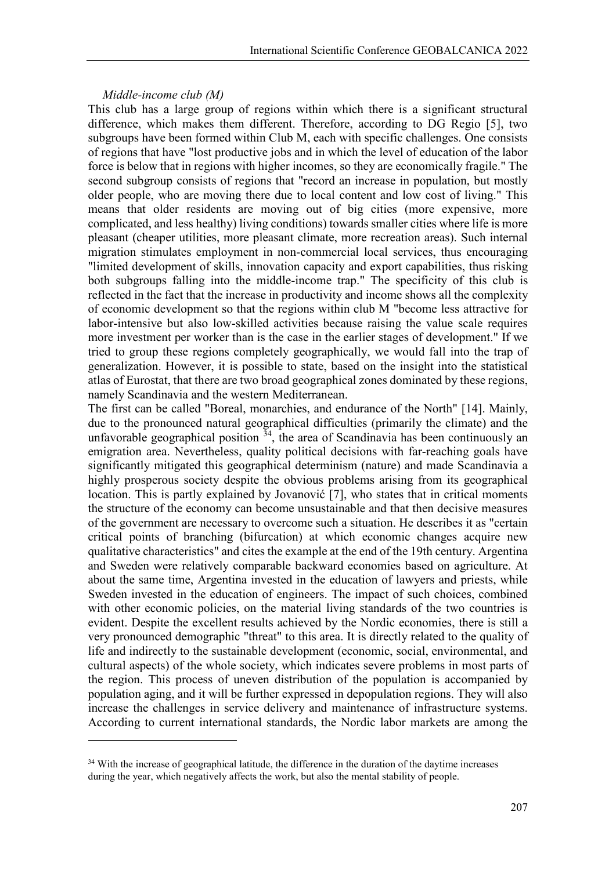#### *Middle-income club (M)*

**.** 

This club has a large group of regions within which there is a significant structural difference, which makes them different. Therefore, according to DG Regio [5], two subgroups have been formed within Club M, each with specific challenges. One consists of regions that have "lost productive jobs and in which the level of education of the labor force is below that in regions with higher incomes, so they are economically fragile." The second subgroup consists of regions that "record an increase in population, but mostly older people, who are moving there due to local content and low cost of living." This means that older residents are moving out of big cities (more expensive, more complicated, and less healthy) living conditions) towards smaller cities where life is more pleasant (cheaper utilities, more pleasant climate, more recreation areas). Such internal migration stimulates employment in non-commercial local services, thus encouraging "limited development of skills, innovation capacity and export capabilities, thus risking both subgroups falling into the middle-income trap." The specificity of this club is reflected in the fact that the increase in productivity and income shows all the complexity of economic development so that the regions within club M "become less attractive for labor-intensive but also low-skilled activities because raising the value scale requires more investment per worker than is the case in the earlier stages of development." If we tried to group these regions completely geographically, we would fall into the trap of generalization. However, it is possible to state, based on the insight into the statistical atlas of Eurostat, that there are two broad geographical zones dominated by these regions, namely Scandinavia and the western Mediterranean.

The first can be called "Boreal, monarchies, and endurance of the North" [14]. Mainly, due to the pronounced natural geographical difficulties (primarily the climate) and the unfavorable geographical position  $34$ , the area of Scandinavia has been continuously an emigration area. Nevertheless, quality political decisions with far-reaching goals have significantly mitigated this geographical determinism (nature) and made Scandinavia a highly prosperous society despite the obvious problems arising from its geographical location. This is partly explained by Jovanović [7], who states that in critical moments the structure of the economy can become unsustainable and that then decisive measures of the government are necessary to overcome such a situation. He describes it as "certain critical points of branching (bifurcation) at which economic changes acquire new qualitative characteristics" and cites the example at the end of the 19th century. Argentina and Sweden were relatively comparable backward economies based on agriculture. At about the same time, Argentina invested in the education of lawyers and priests, while Sweden invested in the education of engineers. The impact of such choices, combined with other economic policies, on the material living standards of the two countries is evident. Despite the excellent results achieved by the Nordic economies, there is still a very pronounced demographic "threat" to this area. It is directly related to the quality of life and indirectly to the sustainable development (economic, social, environmental, and cultural aspects) of the whole society, which indicates severe problems in most parts of the region. This process of uneven distribution of the population is accompanied by population aging, and it will be further expressed in depopulation regions. They will also increase the challenges in service delivery and maintenance of infrastructure systems. According to current international standards, the Nordic labor markets are among the

<span id="page-12-0"></span><sup>&</sup>lt;sup>34</sup> With the increase of geographical latitude, the difference in the duration of the daytime increases during the year, which negatively affects the work, but also the mental stability of people.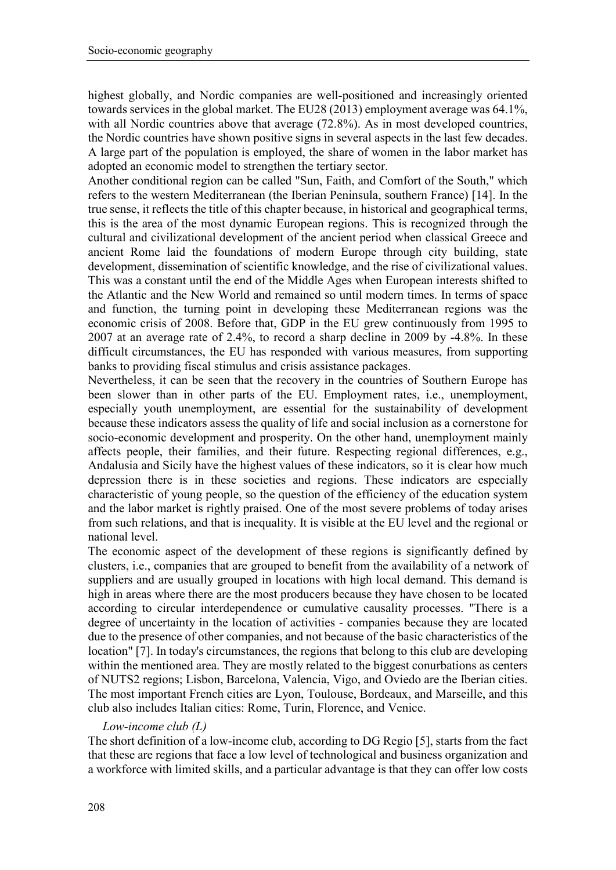highest globally, and Nordic companies are well-positioned and increasingly oriented towards services in the global market. The EU28 (2013) employment average was 64.1%, with all Nordic countries above that average (72.8%). As in most developed countries, the Nordic countries have shown positive signs in several aspects in the last few decades. A large part of the population is employed, the share of women in the labor market has adopted an economic model to strengthen the tertiary sector.

Another conditional region can be called "Sun, Faith, and Comfort of the South," which refers to the western Mediterranean (the Iberian Peninsula, southern France) [14]. In the true sense, it reflects the title of this chapter because, in historical and geographical terms, this is the area of the most dynamic European regions. This is recognized through the cultural and civilizational development of the ancient period when classical Greece and ancient Rome laid the foundations of modern Europe through city building, state development, dissemination of scientific knowledge, and the rise of civilizational values. This was a constant until the end of the Middle Ages when European interests shifted to the Atlantic and the New World and remained so until modern times. In terms of space and function, the turning point in developing these Mediterranean regions was the economic crisis of 2008. Before that, GDP in the EU grew continuously from 1995 to 2007 at an average rate of 2.4%, to record a sharp decline in 2009 by -4.8%. In these difficult circumstances, the EU has responded with various measures, from supporting banks to providing fiscal stimulus and crisis assistance packages.

Nevertheless, it can be seen that the recovery in the countries of Southern Europe has been slower than in other parts of the EU. Employment rates, i.e., unemployment, especially youth unemployment, are essential for the sustainability of development because these indicators assess the quality of life and social inclusion as a cornerstone for socio-economic development and prosperity. On the other hand, unemployment mainly affects people, their families, and their future. Respecting regional differences, e.g., Andalusia and Sicily have the highest values of these indicators, so it is clear how much depression there is in these societies and regions. These indicators are especially characteristic of young people, so the question of the efficiency of the education system and the labor market is rightly praised. One of the most severe problems of today arises from such relations, and that is inequality. It is visible at the EU level and the regional or national level.

The economic aspect of the development of these regions is significantly defined by clusters, i.e., companies that are grouped to benefit from the availability of a network of suppliers and are usually grouped in locations with high local demand. This demand is high in areas where there are the most producers because they have chosen to be located according to circular interdependence or cumulative causality processes. "There is a degree of uncertainty in the location of activities - companies because they are located due to the presence of other companies, and not because of the basic characteristics of the location" [7]. In today's circumstances, the regions that belong to this club are developing within the mentioned area. They are mostly related to the biggest conurbations as centers of NUTS2 regions; Lisbon, Barcelona, Valencia, Vigo, and Oviedo are the Iberian cities. The most important French cities are Lyon, Toulouse, Bordeaux, and Marseille, and this club also includes Italian cities: Rome, Turin, Florence, and Venice.

## *Low-income club (L)*

The short definition of a low-income club, according to DG Regio [5], starts from the fact that these are regions that face a low level of technological and business organization and a workforce with limited skills, and a particular advantage is that they can offer low costs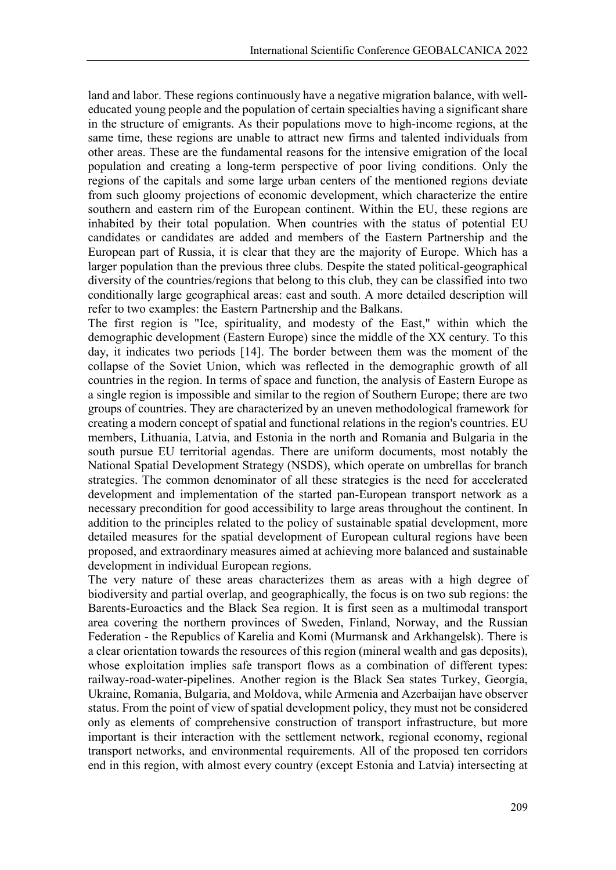land and labor. These regions continuously have a negative migration balance, with welleducated young people and the population of certain specialties having a significant share in the structure of emigrants. As their populations move to high-income regions, at the same time, these regions are unable to attract new firms and talented individuals from other areas. These are the fundamental reasons for the intensive emigration of the local population and creating a long-term perspective of poor living conditions. Only the regions of the capitals and some large urban centers of the mentioned regions deviate from such gloomy projections of economic development, which characterize the entire southern and eastern rim of the European continent. Within the EU, these regions are inhabited by their total population. When countries with the status of potential EU candidates or candidates are added and members of the Eastern Partnership and the European part of Russia, it is clear that they are the majority of Europe. Which has a larger population than the previous three clubs. Despite the stated political-geographical diversity of the countries/regions that belong to this club, they can be classified into two conditionally large geographical areas: east and south. A more detailed description will refer to two examples: the Eastern Partnership and the Balkans.

The first region is "Ice, spirituality, and modesty of the East," within which the demographic development (Eastern Europe) since the middle of the XX century. To this day, it indicates two periods [14]. The border between them was the moment of the collapse of the Soviet Union, which was reflected in the demographic growth of all countries in the region. In terms of space and function, the analysis of Eastern Europe as a single region is impossible and similar to the region of Southern Europe; there are two groups of countries. They are characterized by an uneven methodological framework for creating a modern concept of spatial and functional relations in the region's countries. EU members, Lithuania, Latvia, and Estonia in the north and Romania and Bulgaria in the south pursue EU territorial agendas. There are uniform documents, most notably the National Spatial Development Strategy (NSDS), which operate on umbrellas for branch strategies. The common denominator of all these strategies is the need for accelerated development and implementation of the started pan-European transport network as a necessary precondition for good accessibility to large areas throughout the continent. In addition to the principles related to the policy of sustainable spatial development, more detailed measures for the spatial development of European cultural regions have been proposed, and extraordinary measures aimed at achieving more balanced and sustainable development in individual European regions.

The very nature of these areas characterizes them as areas with a high degree of biodiversity and partial overlap, and geographically, the focus is on two sub regions: the Barents-Euroactics and the Black Sea region. It is first seen as a multimodal transport area covering the northern provinces of Sweden, Finland, Norway, and the Russian Federation - the Republics of Karelia and Komi (Murmansk and Arkhangelsk). There is a clear orientation towards the resources of this region (mineral wealth and gas deposits), whose exploitation implies safe transport flows as a combination of different types: railway-road-water-pipelines. Another region is the Black Sea states Turkey, Georgia, Ukraine, Romania, Bulgaria, and Moldova, while Armenia and Azerbaijan have observer status. From the point of view of spatial development policy, they must not be considered only as elements of comprehensive construction of transport infrastructure, but more important is their interaction with the settlement network, regional economy, regional transport networks, and environmental requirements. All of the proposed ten corridors end in this region, with almost every country (except Estonia and Latvia) intersecting at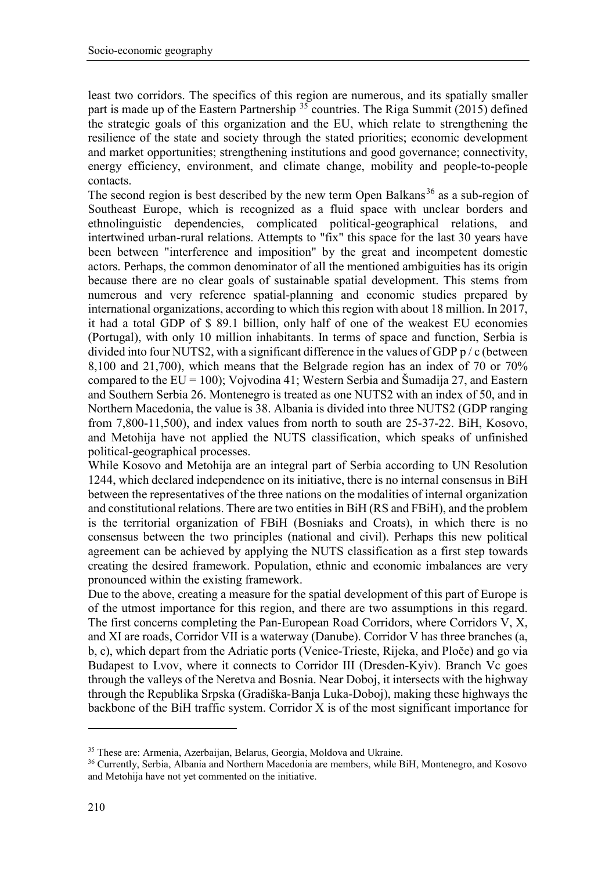least two corridors. The specifics of this region are numerous, and its spatially smaller part is made up of the Eastern Partnership  $35$  countries. The Riga Summit (2015) defined the strategic goals of this organization and the EU, which relate to strengthening the resilience of the state and society through the stated priorities; economic development and market opportunities; strengthening institutions and good governance; connectivity, energy efficiency, environment, and climate change, mobility and people-to-people contacts.

The second region is best described by the new term Open Balkans<sup>[36](#page-15-1)</sup> as a sub-region of Southeast Europe, which is recognized as a fluid space with unclear borders and ethnolinguistic dependencies, complicated political-geographical relations, and intertwined urban-rural relations. Attempts to "fix" this space for the last 30 years have been between "interference and imposition" by the great and incompetent domestic actors. Perhaps, the common denominator of all the mentioned ambiguities has its origin because there are no clear goals of sustainable spatial development. This stems from numerous and very reference spatial-planning and economic studies prepared by international organizations, according to which this region with about 18 million. In 2017, it had a total GDP of \$ 89.1 billion, only half of one of the weakest EU economies (Portugal), with only 10 million inhabitants. In terms of space and function, Serbia is divided into four NUTS2, with a significant difference in the values of GDP p / c (between 8,100 and 21,700), which means that the Belgrade region has an index of 70 or 70% compared to the  $EU = 100$ ); Vojvodina 41; Western Serbia and Šumadija 27, and Eastern and Southern Serbia 26. Montenegro is treated as one NUTS2 with an index of 50, and in Northern Macedonia, the value is 38. Albania is divided into three NUTS2 (GDP ranging from 7,800-11,500), and index values from north to south are 25-37-22. BiH, Kosovo, and Metohija have not applied the NUTS classification, which speaks of unfinished political-geographical processes.

While Kosovo and Metohija are an integral part of Serbia according to UN Resolution 1244, which declared independence on its initiative, there is no internal consensus in BiH between the representatives of the three nations on the modalities of internal organization and constitutional relations. There are two entities in BiH (RS and FBiH), and the problem is the territorial organization of FBiH (Bosniaks and Croats), in which there is no consensus between the two principles (national and civil). Perhaps this new political agreement can be achieved by applying the NUTS classification as a first step towards creating the desired framework. Population, ethnic and economic imbalances are very pronounced within the existing framework.

Due to the above, creating a measure for the spatial development of this part of Europe is of the utmost importance for this region, and there are two assumptions in this regard. The first concerns completing the Pan-European Road Corridors, where Corridors V, X, and XI are roads, Corridor VII is a waterway (Danube). Corridor V has three branches (a, b, c), which depart from the Adriatic ports (Venice-Trieste, Rijeka, and Ploče) and go via Budapest to Lvov, where it connects to Corridor III (Dresden-Kyiv). Branch Vc goes through the valleys of the Neretva and Bosnia. Near Doboj, it intersects with the highway through the Republika Srpska (Gradiška-Banja Luka-Doboj), making these highways the backbone of the BiH traffic system. Corridor X is of the most significant importance for

1

<span id="page-15-0"></span><sup>35</sup> These are: Armenia, Azerbaijan, Belarus, Georgia, Moldova and Ukraine.

<span id="page-15-1"></span><sup>36</sup> Currently, Serbia, Albania and Northern Macedonia are members, while BiH, Montenegro, and Kosovo and Metohija have not yet commented on the initiative.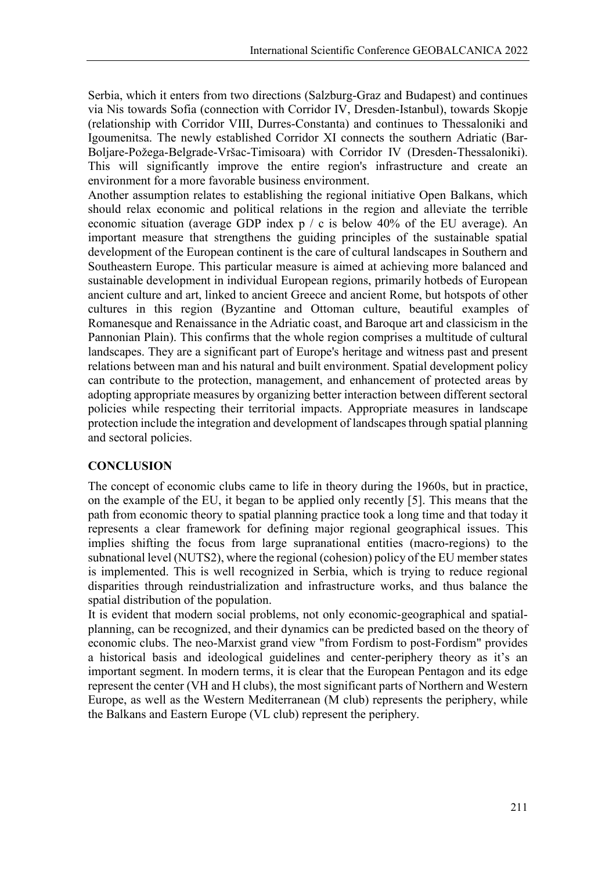Serbia, which it enters from two directions (Salzburg-Graz and Budapest) and continues via Nis towards Sofia (connection with Corridor IV, Dresden-Istanbul), towards Skopje (relationship with Corridor VIII, Durres-Constanta) and continues to Thessaloniki and Igoumenitsa. The newly established Corridor XI connects the southern Adriatic (Bar-Boljare-Požega-Belgrade-Vršac-Timisoara) with Corridor IV (Dresden-Thessaloniki). This will significantly improve the entire region's infrastructure and create an environment for a more favorable business environment.

Another assumption relates to establishing the regional initiative Open Balkans, which should relax economic and political relations in the region and alleviate the terrible economic situation (average GDP index p / c is below 40% of the EU average). An important measure that strengthens the guiding principles of the sustainable spatial development of the European continent is the care of cultural landscapes in Southern and Southeastern Europe. This particular measure is aimed at achieving more balanced and sustainable development in individual European regions, primarily hotbeds of European ancient culture and art, linked to ancient Greece and ancient Rome, but hotspots of other cultures in this region (Byzantine and Ottoman culture, beautiful examples of Romanesque and Renaissance in the Adriatic coast, and Baroque art and classicism in the Pannonian Plain). This confirms that the whole region comprises a multitude of cultural landscapes. They are a significant part of Europe's heritage and witness past and present relations between man and his natural and built environment. Spatial development policy can contribute to the protection, management, and enhancement of protected areas by adopting appropriate measures by organizing better interaction between different sectoral policies while respecting their territorial impacts. Appropriate measures in landscape protection include the integration and development of landscapes through spatial planning and sectoral policies.

# **CONCLUSION**

The concept of economic clubs came to life in theory during the 1960s, but in practice, on the example of the EU, it began to be applied only recently [5]. This means that the path from economic theory to spatial planning practice took a long time and that today it represents a clear framework for defining major regional geographical issues. This implies shifting the focus from large supranational entities (macro-regions) to the subnational level (NUTS2), where the regional (cohesion) policy of the EU member states is implemented. This is well recognized in Serbia, which is trying to reduce regional disparities through reindustrialization and infrastructure works, and thus balance the spatial distribution of the population.

It is evident that modern social problems, not only economic-geographical and spatialplanning, can be recognized, and their dynamics can be predicted based on the theory of economic clubs. The neo-Marxist grand view "from Fordism to post-Fordism" provides a historical basis and ideological guidelines and center-periphery theory as it's an important segment. In modern terms, it is clear that the European Pentagon and its edge represent the center (VH and H clubs), the most significant parts of Northern and Western Europe, as well as the Western Mediterranean (M club) represents the periphery, while the Balkans and Eastern Europe (VL club) represent the periphery.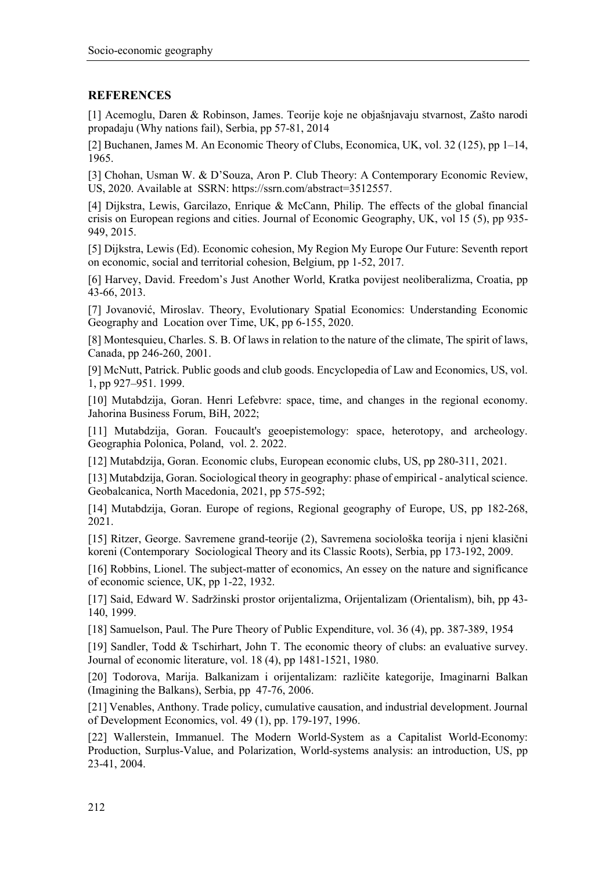# **REFERENCES**

[1] Acemoglu, Daren & Robinson, James. Teorije koje ne objašnjavaju stvarnost, Zašto narodi propadaju (Why nations fail), Serbia, pp 57-81, 2014

[2] Buchanen, James M. An Economic Theory of Clubs, Economica, UK, vol. 32 (125), pp 1–14, 1965.

[3] Chohan, Usman W. & D'Souza, Aron P. Club Theory: A Contemporary Economic Review, US, 2020. Available at SSRN: https://ssrn.com/abstract=3512557.

[4] Dijkstra, Lewis, Garcilazo, Enrique & McCann, Philip. The effects of the global financial crisis on European regions and cities. Journal of Economic Geography, UK, vol 15 (5), pp 935- 949, 2015.

[5] Dijkstra, Lewis (Ed). Economic cohesion, My Region My Europe Our Future: Seventh report on economic, social and territorial cohesion, Belgium, pp 1-52, 2017.

[6] Harvey, David. Freedom's Just Another World, Kratka povijest neoliberalizma, Croatia, pp 43-66, 2013.

[7] Jovanović, Miroslav. Theory, Evolutionary Spatial Economics: Understanding Economic Geography and Location over Time, UK, pp 6-155, 2020.

[8] Montesquieu, Charles. S. B. Of laws in relation to the nature of the climate, The spirit of laws, Canada, pp 246-260, 2001.

[9] McNutt, Patrick. Public goods and club goods. Encyclopedia of Law and Economics, US, vol. 1, pp 927–951. 1999.

[10] Mutabdzija, Goran. Henri Lefebvre: space, time, and changes in the regional economy. Jahorina Business Forum, BiH, 2022;

[11] Mutabdzija, Goran. Foucault's geoepistemology: space, heterotopy, and archeology. Geographia Polonica, Poland, vol. 2. 2022.

[12] Mutabdzija, Goran. Economic clubs, European economic clubs, US, pp 280-311, 2021.

[13] Mutabdzija, Goran. Sociological theory in geography: phase of empirical - analytical science. Geobalcanica, North Macedonia, 2021, pp 575-592;

[14] Mutabdzija, Goran. Europe of regions, Regional geography of Europe, US, pp 182-268, 2021.

[15] Ritzer, George. Savremene grand-teorije (2), Savremena sociološka teorija i njeni klasični koreni (Contemporary Sociological Theory and its Classic Roots), Serbia, pp 173-192, 2009.

[16] Robbins, Lionel. The subject-matter of economics, An essey on the nature and significance of economic science, UK, pp 1-22, 1932.

[17] Said, Edward W. Sadržinski prostor orijentalizma, Orijentalizam (Orientalism), bih, pp 43- 140, 1999.

[18] Samuеlson, Paul. The Pure Theory of Public Expenditure, vol. 36 (4), pp. 387-389, 1954

[19] Sandler, Todd & Tschirhart, John T. The economic theory of clubs: an evaluative survey. Journal of economic literature, vol. 18 (4), pp 1481-1521, 1980.

[20] Todorova, Marija. Balkanizam i orijentalizam: različite kategorije, Imaginarni Balkan (Imagining the Balkans), Serbia, pp 47-76, 2006.

[21] Venables, Anthony. Trade policy, cumulative causation, and industrial development. Journal of Development Economics, vol. 49 (1), pp. 179-197, 1996.

[22] Wallerstein, Immanuel. The Modern World-System as a Capitalist World-Economy: Production, Surplus-Value, and Polarization, World-systems analysis: an introduction, US, pp 23-41, 2004.